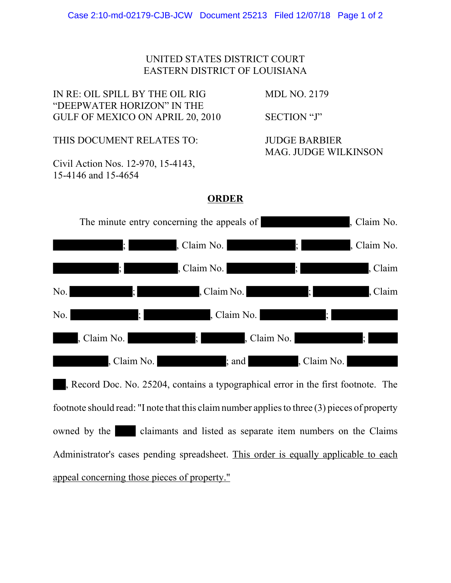## UNITED STATES DISTRICT COURT EASTERN DISTRICT OF LOUISIANA

IN RE: OIL SPILL BY THE OIL RIG MDL NO. 2179 "DEEPWATER HORIZON" IN THE GULF OF MEXICO ON APRIL 20, 2010 SECTION "J"

THIS DOCUMENT RELATES TO: JUDGE BARBIER

Civil Action Nos. 12-970, 15-4143, 15-4146 and 15-4654

MAG. JUDGE WILKINSON

## **ORDER**



, Record Doc. No. 25204, contains a typographical error in the first footnote. The footnote should read: "I note that this claim number applies to three (3) pieces of property owned by the claimants and listed as separate item numbers on the Claims Administrator's cases pending spreadsheet. This order is equally applicable to each appeal concerning those pieces of property."